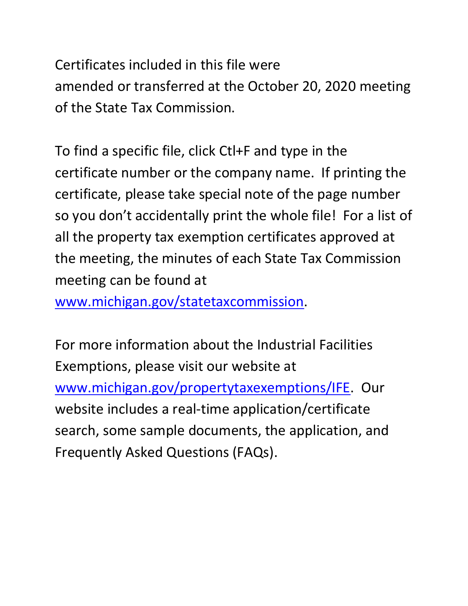Certificates included in this file were amended or transferred at the October 20, 2020 meeting of the State Tax Commission.

 certificate number or the company name. If printing the so you don't accidentally print the whole file! For a list of To find a specific file, click Ctl+F and type in the certificate, please take special note of the page number all the property tax exemption certificates approved at the meeting, the minutes of each State Tax Commission meeting can be found at

[www.michigan.gov/statetaxcommission.](http://www.michigan.gov/statetaxcommission)

For more information about the Industrial Facilities Exemptions, please visit our website at [www.michigan.gov/propertytaxexemptions/IFE.](http://www.michigan.gov/taxes/0,1607,7-238-43535_53197-213175--,00.html) Our website includes a real-time application/certificate search, some sample documents, the application, and Frequently Asked Questions (FAQs).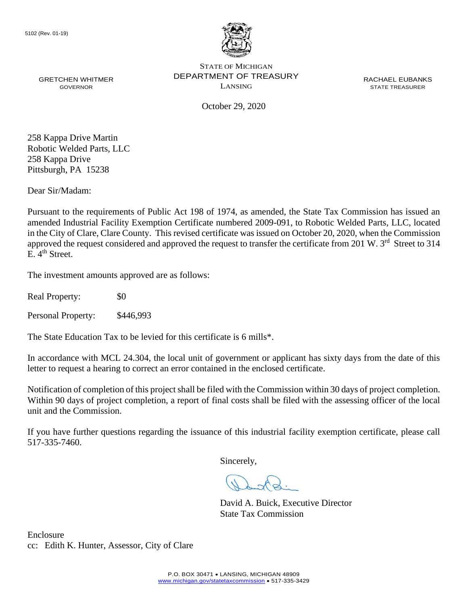

October 29, 2020

 Pittsburgh, PA 15238 258 Kappa Drive Martin Robotic Welded Parts, LLC 258 Kappa Drive

Dear Sir/Madam:

Pursuant to the requirements of Public Act 198 of 1974, as amended, the State Tax Commission has issued an amended Industrial Facility Exemption Certificate numbered 2009-091, to Robotic Welded Parts, LLC, located in the City of Clare, Clare County. This revised certificate was issued on October 20, 2020, when the Commission approved the request considered and approved the request to transfer the certificate from 201 W. 3<sup>rd</sup> Street to 314 E.  $4<sup>th</sup>$  Street.

The investment amounts approved are as follows:

Real Property: \$0

Personal Property: \$446,993

The State Education Tax to be levied for this certificate is 6 mills\*.

In accordance with MCL 24.304, the local unit of government or applicant has sixty days from the date of this letter to request a hearing to correct an error contained in the enclosed certificate.

 Notification of completion of this project shall be filed with the Commission within 30 days of project completion. Within 90 days of project completion, a report of final costs shall be filed with the assessing officer of the local unit and the Commission.

 If you have further questions regarding the issuance of this industrial facility exemption certificate, please call 517-335-7460.

Sincerely,

David A. Buick, Executive Director State Tax Commission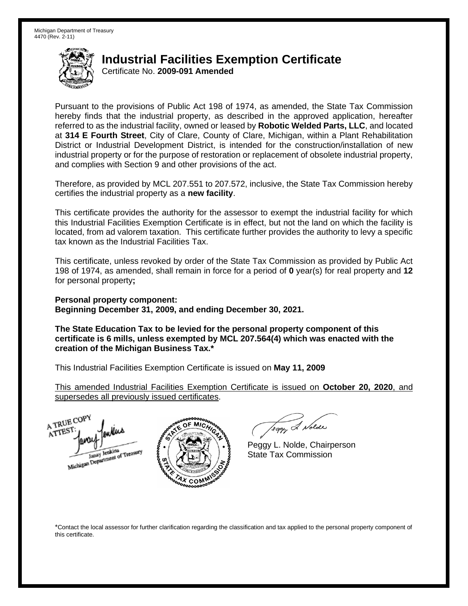## **Industrial Facilities Exemption Certificate**

Certificate No. **2009-091 Amended** 

 Pursuant to the provisions of Public Act 198 of 1974, as amended, the State Tax Commission hereby finds that the industrial property, as described in the approved application, hereafter referred to as the industrial facility, owned or leased by **Robotic Welded Parts, LLC**, and located  at **314 E Fourth Street**, City of Clare, County of Clare, Michigan, within a Plant Rehabilitation District or Industrial Development District, is intended for the construction/installation of new industrial property or for the purpose of restoration or replacement of obsolete industrial property, and complies with Section 9 and other provisions of the act.

 Therefore, as provided by MCL 207.551 to 207.572, inclusive, the State Tax Commission hereby certifies the industrial property as a **new facility**.

 This certificate provides the authority for the assessor to exempt the industrial facility for which this Industrial Facilities Exemption Certificate is in effect, but not the land on which the facility is located, from ad valorem taxation. This certificate further provides the authority to levy a specific tax known as the Industrial Facilities Tax.

 This certificate, unless revoked by order of the State Tax Commission as provided by Public Act 198 of 1974, as amended, shall remain in force for a period of **0** year(s) for real property and **12**  for personal property**;** 

 **Personal property component: Beginning December 31, 2009, and ending December 30, 2021.** 

 **The State Education Tax to be levied for the personal property component of this certificate is 6 mills, unless exempted by MCL 207.564(4) which was enacted with the creation of the Michigan Business Tax.\*** 

This Industrial Facilities Exemption Certificate is issued on **May 11, 2009** 

 supersedes all previously issued certificates. This amended Industrial Facilities Exemption Certificate is issued on **October 20, 2020**, and





eggy & Nolde

Peggy L. Nolde, Chairperson State Tax Commission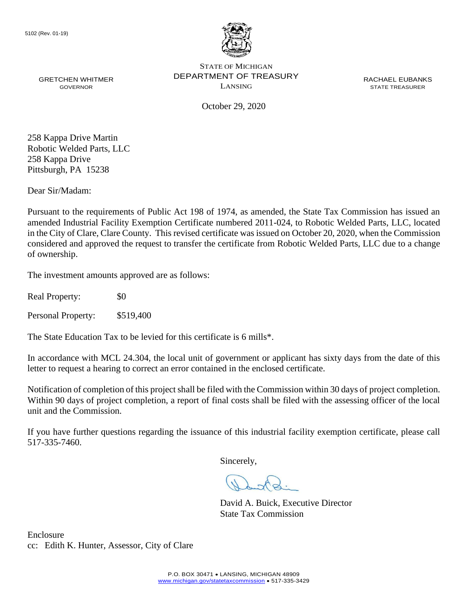

October 29, 2020

 Pittsburgh, PA 15238 258 Kappa Drive Martin Robotic Welded Parts, LLC 258 Kappa Drive

Dear Sir/Madam:

 considered and approved the request to transfer the certificate from Robotic Welded Parts, LLC due to a change Pursuant to the requirements of Public Act 198 of 1974, as amended, the State Tax Commission has issued an amended Industrial Facility Exemption Certificate numbered 2011-024, to Robotic Welded Parts, LLC, located in the City of Clare, Clare County. This revised certificate was issued on October 20, 2020, when the Commission of ownership.

The investment amounts approved are as follows:

Real Property: \$0

Personal Property: \$519,400

The State Education Tax to be levied for this certificate is 6 mills\*.

In accordance with MCL 24.304, the local unit of government or applicant has sixty days from the date of this letter to request a hearing to correct an error contained in the enclosed certificate.

 Notification of completion of this project shall be filed with the Commission within 30 days of project completion. Within 90 days of project completion, a report of final costs shall be filed with the assessing officer of the local unit and the Commission.

 If you have further questions regarding the issuance of this industrial facility exemption certificate, please call 517-335-7460.

Sincerely,

David A. Buick, Executive Director State Tax Commission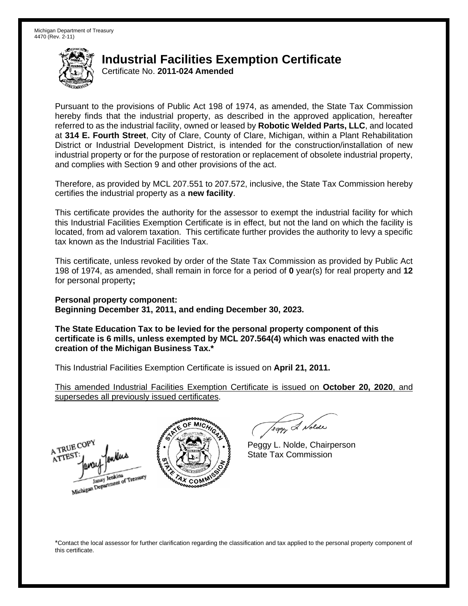## **Industrial Facilities Exemption Certificate**

Certificate No. **2011-024 Amended** 

 Pursuant to the provisions of Public Act 198 of 1974, as amended, the State Tax Commission hereby finds that the industrial property, as described in the approved application, hereafter referred to as the industrial facility, owned or leased by **Robotic Welded Parts, LLC**, and located at **314 E. Fourth Street**, City of Clare, County of Clare, Michigan, within a Plant Rehabilitation District or Industrial Development District, is intended for the construction/installation of new industrial property or for the purpose of restoration or replacement of obsolete industrial property, and complies with Section 9 and other provisions of the act.

 Therefore, as provided by MCL 207.551 to 207.572, inclusive, the State Tax Commission hereby certifies the industrial property as a **new facility**.

 This certificate provides the authority for the assessor to exempt the industrial facility for which this Industrial Facilities Exemption Certificate is in effect, but not the land on which the facility is located, from ad valorem taxation. This certificate further provides the authority to levy a specific tax known as the Industrial Facilities Tax.

 This certificate, unless revoked by order of the State Tax Commission as provided by Public Act 198 of 1974, as amended, shall remain in force for a period of **0** year(s) for real property and **12**  for personal property**;** 

 **Personal property component: Beginning December 31, 2011, and ending December 30, 2023.** 

 **The State Education Tax to be levied for the personal property component of this certificate is 6 mills, unless exempted by MCL 207.564(4) which was enacted with the creation of the Michigan Business Tax.\*** 

 This Industrial Facilities Exemption Certificate is issued on **April 21, 2011.** 

 supersedes all previously issued certificates. This amended Industrial Facilities Exemption Certificate is issued on **October 20, 2020**, and





eggy & Nolde

 Peggy L. Nolde, Chairperson State Tax Commission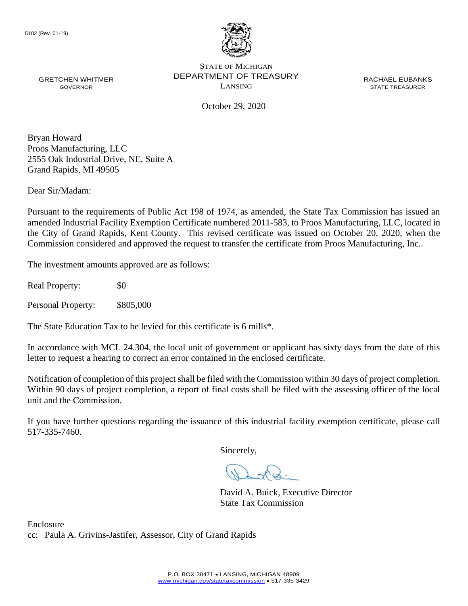

October 29, 2020

Bryan Howard Proos Manufacturing, LLC 2555 Oak Industrial Drive, NE, Suite A Grand Rapids, MI 49505

Dear Sir/Madam:

Pursuant to the requirements of Public Act 198 of 1974, as amended, the State Tax Commission has issued an amended Industrial Facility Exemption Certificate numbered 2011-583, to Proos Manufacturing, LLC, located in the City of Grand Rapids, Kent County. This revised certificate was issued on October 20, 2020, when the Commission considered and approved the request to transfer the certificate from Proos Manufacturing, Inc..

The investment amounts approved are as follows:

Real Property:  $\$0$ 

Personal Property: \$805,000

The State Education Tax to be levied for this certificate is 6 mills\*.

In accordance with MCL 24.304, the local unit of government or applicant has sixty days from the date of this letter to request a hearing to correct an error contained in the enclosed certificate.

 Notification of completion of this project shall be filed with the Commission within 30 days of project completion. Within 90 days of project completion, a report of final costs shall be filed with the assessing officer of the local unit and the Commission.

 If you have further questions regarding the issuance of this industrial facility exemption certificate, please call 517-335-7460.

Sincerely,

David A. Buick, Executive Director State Tax Commission

Enclosure cc: Paula A. Grivins-Jastifer, Assessor, City of Grand Rapids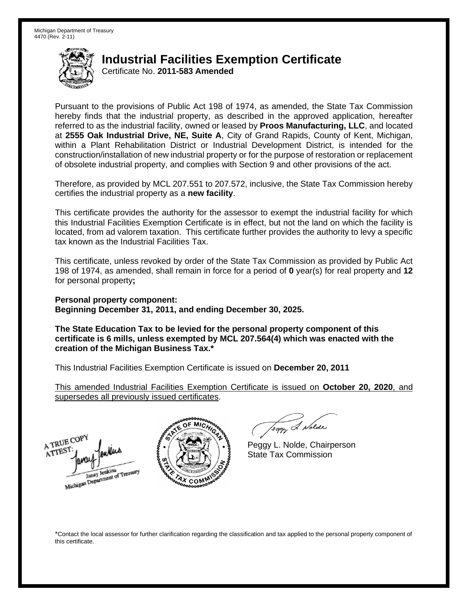## **Industrial Facilities Exemption Certificate**

Certificate No. **2011-583 Amended** 

 Pursuant to the provisions of Public Act 198 of 1974, as amended, the State Tax Commission hereby finds that the industrial property, as described in the approved application, hereafter referred to as the industrial facility, owned or leased by **Proos Manufacturing, LLC**, and located  at **2555 Oak Industrial Drive, NE, Suite A**, City of Grand Rapids, County of Kent, Michigan, within a Plant Rehabilitation District or Industrial Development District, is intended for the construction/installation of new industrial property or for the purpose of restoration or replacement of obsolete industrial property, and complies with Section 9 and other provisions of the act.

 Therefore, as provided by MCL 207.551 to 207.572, inclusive, the State Tax Commission hereby certifies the industrial property as a **new facility**.

 This certificate provides the authority for the assessor to exempt the industrial facility for which this Industrial Facilities Exemption Certificate is in effect, but not the land on which the facility is located, from ad valorem taxation. This certificate further provides the authority to levy a specific tax known as the Industrial Facilities Tax.

 This certificate, unless revoked by order of the State Tax Commission as provided by Public Act 198 of 1974, as amended, shall remain in force for a period of **0** year(s) for real property and **12**  for personal property**;** 

 **Personal property component: Beginning December 31, 2011, and ending December 30, 2025.** 

 **The State Education Tax to be levied for the personal property component of this certificate is 6 mills, unless exempted by MCL 207.564(4) which was enacted with the creation of the Michigan Business Tax.\*** 

 This Industrial Facilities Exemption Certificate is issued on **December 20, 2011** 

 supersedes all previously issued certificates. This amended Industrial Facilities Exemption Certificate is issued on **October 20, 2020**, and





eggy & Nolde

 Peggy L. Nolde, Chairperson State Tax Commission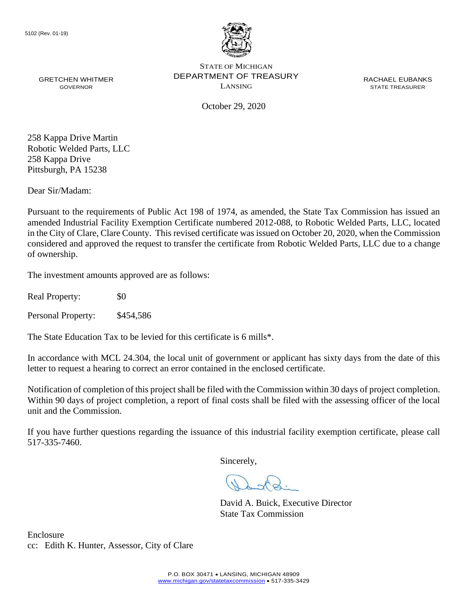

October 29, 2020

258 Kappa Drive Martin Robotic Welded Parts, LLC 258 Kappa Drive Pittsburgh, PA 15238

Dear Sir/Madam:

 considered and approved the request to transfer the certificate from Robotic Welded Parts, LLC due to a change Pursuant to the requirements of Public Act 198 of 1974, as amended, the State Tax Commission has issued an amended Industrial Facility Exemption Certificate numbered 2012-088, to Robotic Welded Parts, LLC, located in the City of Clare, Clare County. This revised certificate was issued on October 20, 2020, when the Commission of ownership.

The investment amounts approved are as follows:

Real Property: \$0

Personal Property: \$454,586

The State Education Tax to be levied for this certificate is 6 mills\*.

In accordance with MCL 24.304, the local unit of government or applicant has sixty days from the date of this letter to request a hearing to correct an error contained in the enclosed certificate.

 Notification of completion of this project shall be filed with the Commission within 30 days of project completion. Within 90 days of project completion, a report of final costs shall be filed with the assessing officer of the local unit and the Commission.

 If you have further questions regarding the issuance of this industrial facility exemption certificate, please call 517-335-7460.

Sincerely,

David A. Buick, Executive Director State Tax Commission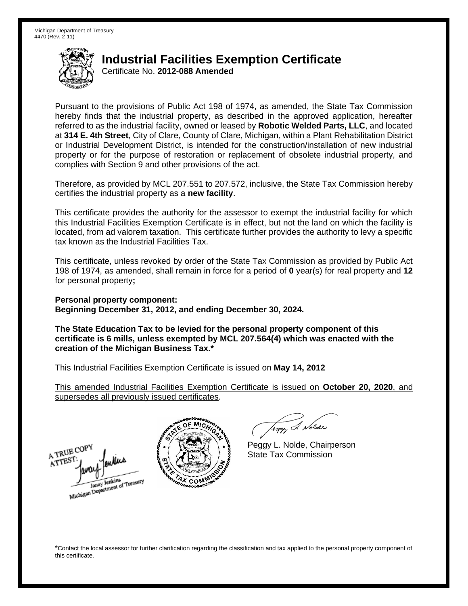# **Industrial Facilities Exemption Certificate**

Certificate No. **2012-088 Amended** 

 Pursuant to the provisions of Public Act 198 of 1974, as amended, the State Tax Commission hereby finds that the industrial property, as described in the approved application, hereafter referred to as the industrial facility, owned or leased by **Robotic Welded Parts, LLC**, and located at **314 E. 4th Street**, City of Clare, County of Clare, Michigan, within a Plant Rehabilitation District or Industrial Development District, is intended for the construction/installation of new industrial property or for the purpose of restoration or replacement of obsolete industrial property, and complies with Section 9 and other provisions of the act.

 Therefore, as provided by MCL 207.551 to 207.572, inclusive, the State Tax Commission hereby certifies the industrial property as a **new facility**.

 This certificate provides the authority for the assessor to exempt the industrial facility for which this Industrial Facilities Exemption Certificate is in effect, but not the land on which the facility is located, from ad valorem taxation. This certificate further provides the authority to levy a specific tax known as the Industrial Facilities Tax.

 This certificate, unless revoked by order of the State Tax Commission as provided by Public Act 198 of 1974, as amended, shall remain in force for a period of **0** year(s) for real property and **12**  for personal property**;** 

 **Personal property component: Beginning December 31, 2012, and ending December 30, 2024.** 

 **The State Education Tax to be levied for the personal property component of this certificate is 6 mills, unless exempted by MCL 207.564(4) which was enacted with the creation of the Michigan Business Tax.\*** 

 This Industrial Facilities Exemption Certificate is issued on **May 14, 2012** 

 supersedes all previously issued certificates. This amended Industrial Facilities Exemption Certificate is issued on **October 20, 2020**, and





eggy & Nolde

 Peggy L. Nolde, Chairperson State Tax Commission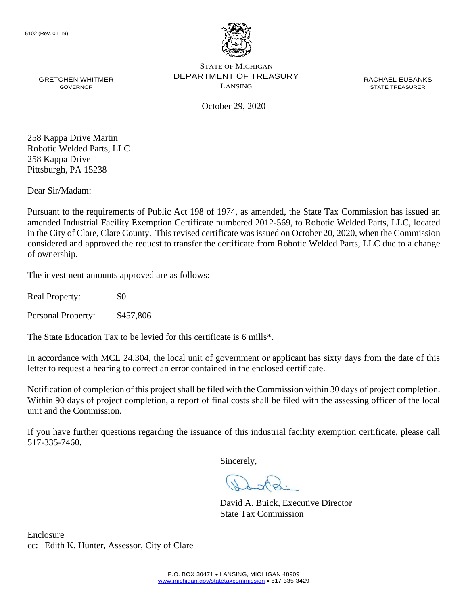

GRETCHEN WHITMER **EXECUTE DEPARTMENT OF TREASURY** THE RACHAEL EUBANKS STATE OF MICHIGAN GRETCHEN WHITMER **STATE THE CONFINITION CONTACT OF I REASUR** T<br>GOVERNOR GOVERNOR BOOKER STATE TREASURER

October 29, 2020

258 Kappa Drive Martin Robotic Welded Parts, LLC 258 Kappa Drive Pittsburgh, PA 15238

Dear Sir/Madam:

 considered and approved the request to transfer the certificate from Robotic Welded Parts, LLC due to a change Pursuant to the requirements of Public Act 198 of 1974, as amended, the State Tax Commission has issued an amended Industrial Facility Exemption Certificate numbered 2012-569, to Robotic Welded Parts, LLC, located in the City of Clare, Clare County. This revised certificate was issued on October 20, 2020, when the Commission of ownership.

The investment amounts approved are as follows:

Real Property: \$0

Personal Property: \$457,806

The State Education Tax to be levied for this certificate is 6 mills\*.

In accordance with MCL 24.304, the local unit of government or applicant has sixty days from the date of this letter to request a hearing to correct an error contained in the enclosed certificate.

 Notification of completion of this project shall be filed with the Commission within 30 days of project completion. Within 90 days of project completion, a report of final costs shall be filed with the assessing officer of the local unit and the Commission.

 If you have further questions regarding the issuance of this industrial facility exemption certificate, please call 517-335-7460.

Sincerely,

David A. Buick, Executive Director State Tax Commission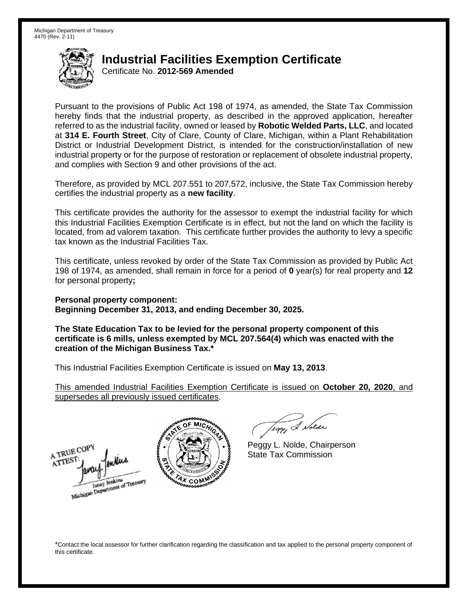## **Industrial Facilities Exemption Certificate**

Certificate No. **2012-569 Amended** 

 Pursuant to the provisions of Public Act 198 of 1974, as amended, the State Tax Commission hereby finds that the industrial property, as described in the approved application, hereafter referred to as the industrial facility, owned or leased by **Robotic Welded Parts, LLC**, and located at **314 E. Fourth Street**, City of Clare, County of Clare, Michigan, within a Plant Rehabilitation District or Industrial Development District, is intended for the construction/installation of new industrial property or for the purpose of restoration or replacement of obsolete industrial property, and complies with Section 9 and other provisions of the act.

 Therefore, as provided by MCL 207.551 to 207.572, inclusive, the State Tax Commission hereby certifies the industrial property as a **new facility**.

 This certificate provides the authority for the assessor to exempt the industrial facility for which this Industrial Facilities Exemption Certificate is in effect, but not the land on which the facility is located, from ad valorem taxation. This certificate further provides the authority to levy a specific tax known as the Industrial Facilities Tax.

 This certificate, unless revoked by order of the State Tax Commission as provided by Public Act 198 of 1974, as amended, shall remain in force for a period of **0** year(s) for real property and **12**  for personal property**;** 

 **Personal property component: Beginning December 31, 2013, and ending December 30, 2025.** 

 **The State Education Tax to be levied for the personal property component of this certificate is 6 mills, unless exempted by MCL 207.564(4) which was enacted with the creation of the Michigan Business Tax.\*** 

 This Industrial Facilities Exemption Certificate is issued on **May 13, 2013**.

 supersedes all previously issued certificates. This amended Industrial Facilities Exemption Certificate is issued on **October 20, 2020**, and





eggy & Nolde

 Peggy L. Nolde, Chairperson State Tax Commission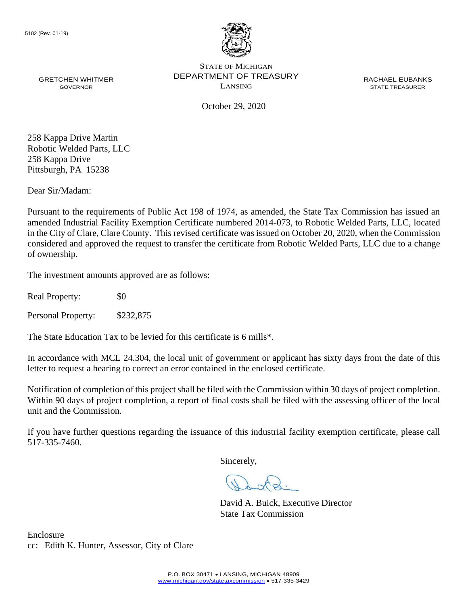

GRETCHEN WHITMER **EXECUTE DEPARTMENT OF TREASURY** THE RACHAEL EUBANKS STATE OF MICHIGAN GRETCHEN WHITMER **STATE THE CONFINITION CONTACT OF I REASUR** T<br>GOVERNOR GOVERNOR BOOKER STATE TREASURER

October 29, 2020

 Pittsburgh, PA 15238 258 Kappa Drive Martin Robotic Welded Parts, LLC 258 Kappa Drive

Dear Sir/Madam:

 considered and approved the request to transfer the certificate from Robotic Welded Parts, LLC due to a change Pursuant to the requirements of Public Act 198 of 1974, as amended, the State Tax Commission has issued an amended Industrial Facility Exemption Certificate numbered 2014-073, to Robotic Welded Parts, LLC, located in the City of Clare, Clare County. This revised certificate was issued on October 20, 2020, when the Commission of ownership.

The investment amounts approved are as follows:

Real Property: \$0

Personal Property: \$232,875

The State Education Tax to be levied for this certificate is 6 mills\*.

In accordance with MCL 24.304, the local unit of government or applicant has sixty days from the date of this letter to request a hearing to correct an error contained in the enclosed certificate.

 Notification of completion of this project shall be filed with the Commission within 30 days of project completion. Within 90 days of project completion, a report of final costs shall be filed with the assessing officer of the local unit and the Commission.

 If you have further questions regarding the issuance of this industrial facility exemption certificate, please call 517-335-7460.

Sincerely,

David A. Buick, Executive Director State Tax Commission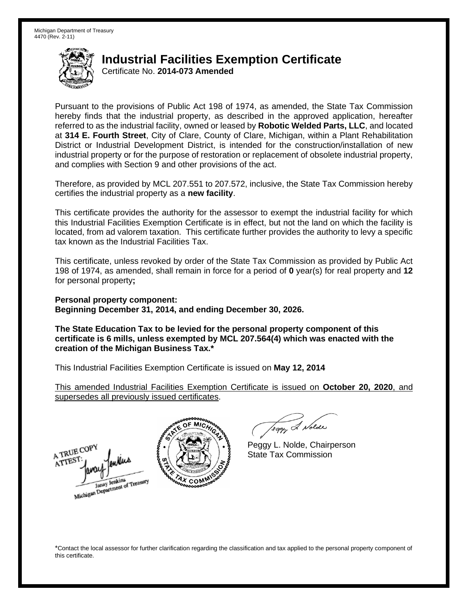## **Industrial Facilities Exemption Certificate**

Certificate No. **2014-073 Amended** 

 Pursuant to the provisions of Public Act 198 of 1974, as amended, the State Tax Commission hereby finds that the industrial property, as described in the approved application, hereafter referred to as the industrial facility, owned or leased by **Robotic Welded Parts, LLC**, and located at **314 E. Fourth Street**, City of Clare, County of Clare, Michigan, within a Plant Rehabilitation District or Industrial Development District, is intended for the construction/installation of new industrial property or for the purpose of restoration or replacement of obsolete industrial property, and complies with Section 9 and other provisions of the act.

 Therefore, as provided by MCL 207.551 to 207.572, inclusive, the State Tax Commission hereby certifies the industrial property as a **new facility**.

 This certificate provides the authority for the assessor to exempt the industrial facility for which this Industrial Facilities Exemption Certificate is in effect, but not the land on which the facility is located, from ad valorem taxation. This certificate further provides the authority to levy a specific tax known as the Industrial Facilities Tax.

 This certificate, unless revoked by order of the State Tax Commission as provided by Public Act 198 of 1974, as amended, shall remain in force for a period of **0** year(s) for real property and **12**  for personal property**;** 

 **Personal property component: Beginning December 31, 2014, and ending December 30, 2026.** 

 **The State Education Tax to be levied for the personal property component of this certificate is 6 mills, unless exempted by MCL 207.564(4) which was enacted with the creation of the Michigan Business Tax.\*** 

 This Industrial Facilities Exemption Certificate is issued on **May 12, 2014** 

 supersedes all previously issued certificates. This amended Industrial Facilities Exemption Certificate is issued on **October 20, 2020**, and





eggy & Nolde

 Peggy L. Nolde, Chairperson State Tax Commission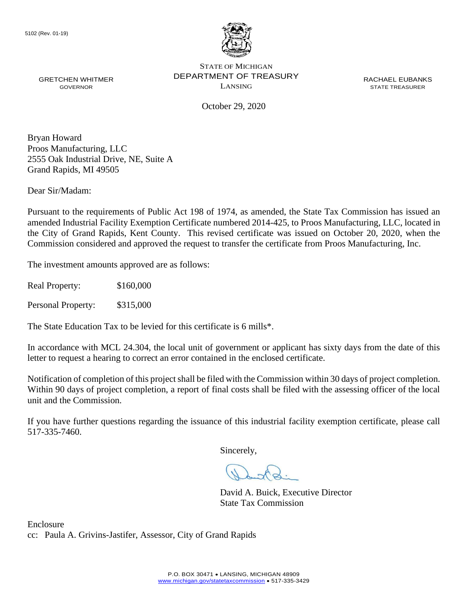

October 29, 2020

Bryan Howard Proos Manufacturing, LLC 2555 Oak Industrial Drive, NE, Suite A Grand Rapids, MI 49505

Dear Sir/Madam:

 the City of Grand Rapids, Kent County. This revised certificate was issued on October 20, 2020, when the Pursuant to the requirements of Public Act 198 of 1974, as amended, the State Tax Commission has issued an amended Industrial Facility Exemption Certificate numbered 2014-425, to Proos Manufacturing, LLC, located in Commission considered and approved the request to transfer the certificate from Proos Manufacturing, Inc.

The investment amounts approved are as follows:

Real Property: \$160,000

Personal Property: \$315,000

The State Education Tax to be levied for this certificate is 6 mills\*.

In accordance with MCL 24.304, the local unit of government or applicant has sixty days from the date of this letter to request a hearing to correct an error contained in the enclosed certificate.

 Notification of completion of this project shall be filed with the Commission within 30 days of project completion. Within 90 days of project completion, a report of final costs shall be filed with the assessing officer of the local unit and the Commission.

 If you have further questions regarding the issuance of this industrial facility exemption certificate, please call 517-335-7460.

Sincerely,

David A. Buick, Executive Director State Tax Commission

Enclosure cc: Paula A. Grivins-Jastifer, Assessor, City of Grand Rapids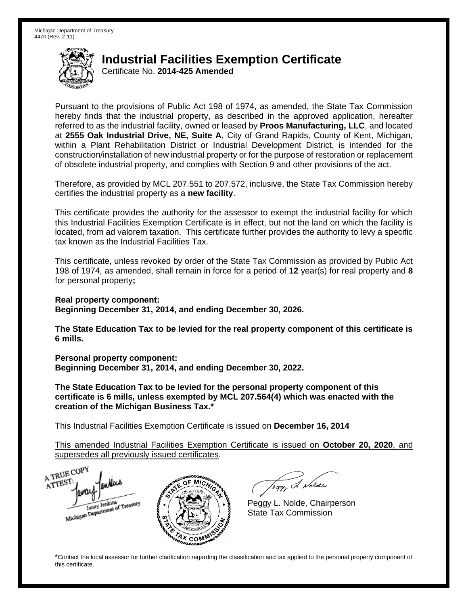## **Industrial Facilities Exemption Certificate**

Certificate No. **2014-425 Amended** 

 Pursuant to the provisions of Public Act 198 of 1974, as amended, the State Tax Commission hereby finds that the industrial property, as described in the approved application, hereafter referred to as the industrial facility, owned or leased by **Proos Manufacturing, LLC**, and located  at **2555 Oak Industrial Drive, NE, Suite A**, City of Grand Rapids, County of Kent, Michigan, within a Plant Rehabilitation District or Industrial Development District, is intended for the construction/installation of new industrial property or for the purpose of restoration or replacement of obsolete industrial property, and complies with Section 9 and other provisions of the act.

 Therefore, as provided by MCL 207.551 to 207.572, inclusive, the State Tax Commission hereby certifies the industrial property as a **new facility**.

 This certificate provides the authority for the assessor to exempt the industrial facility for which this Industrial Facilities Exemption Certificate is in effect, but not the land on which the facility is located, from ad valorem taxation. This certificate further provides the authority to levy a specific tax known as the Industrial Facilities Tax.

 This certificate, unless revoked by order of the State Tax Commission as provided by Public Act 198 of 1974, as amended, shall remain in force for a period of **12** year(s) for real property and **8**  for personal property**;** 

 **Real property component: Beginning December 31, 2014, and ending December 30, 2026.** 

 **The State Education Tax to be levied for the real property component of this certificate is 6 mills.** 

 **Personal property component: Beginning December 31, 2014, and ending December 30, 2022.** 

 **The State Education Tax to be levied for the personal property component of this certificate is 6 mills, unless exempted by MCL 207.564(4) which was enacted with the creation of the Michigan Business Tax.\*** 

 This Industrial Facilities Exemption Certificate is issued on **December 16, 2014** 

 supersedes all previously issued certificates. This amended Industrial Facilities Exemption Certificate is issued on **October 20, 2020**, and

A TRUE COP A TTEST enders Michigan Department of Treasury COM<sub>2</sub>

Teggy & Nolde

 Peggy L. Nolde, Chairperson State Tax Commission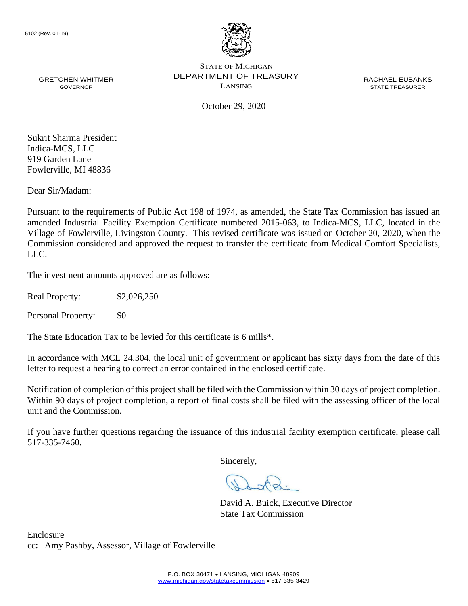

October 29, 2020

Sukrit Sharma President Indica-MCS, LLC 919 Garden Lane Fowlerville, MI 48836

Dear Sir/Madam:

 Village of Fowlerville, Livingston County. This revised certificate was issued on October 20, 2020, when the Pursuant to the requirements of Public Act 198 of 1974, as amended, the State Tax Commission has issued an amended Industrial Facility Exemption Certificate numbered 2015-063, to Indica-MCS, LLC, located in the Commission considered and approved the request to transfer the certificate from Medical Comfort Specialists, LLC.

The investment amounts approved are as follows:

Real Property: \$2,026,250

Personal Property: \$0

The State Education Tax to be levied for this certificate is 6 mills\*.

In accordance with MCL 24.304, the local unit of government or applicant has sixty days from the date of this letter to request a hearing to correct an error contained in the enclosed certificate.

 Notification of completion of this project shall be filed with the Commission within 30 days of project completion. Within 90 days of project completion, a report of final costs shall be filed with the assessing officer of the local unit and the Commission.

 If you have further questions regarding the issuance of this industrial facility exemption certificate, please call 517-335-7460.

Sincerely,

David A. Buick, Executive Director State Tax Commission

Enclosure cc: Amy Pashby, Assessor, Village of Fowlerville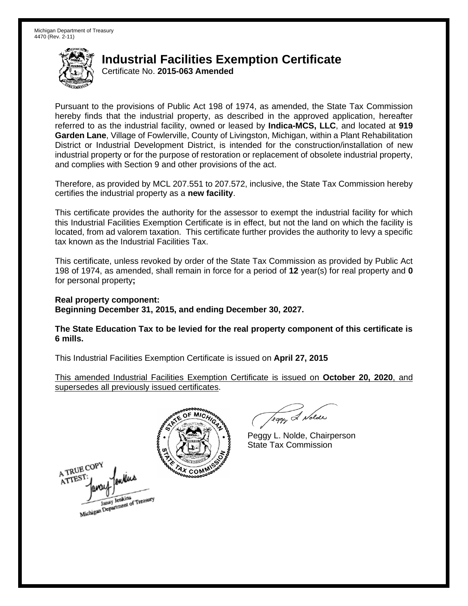## **Industrial Facilities Exemption Certificate**

Certificate No. **2015-063 Amended** 

 Pursuant to the provisions of Public Act 198 of 1974, as amended, the State Tax Commission hereby finds that the industrial property, as described in the approved application, hereafter referred to as the industrial facility, owned or leased by **Indica-MCS, LLC**, and located at **919 Garden Lane**, Village of Fowlerville, County of Livingston, Michigan, within a Plant Rehabilitation District or Industrial Development District, is intended for the construction/installation of new industrial property or for the purpose of restoration or replacement of obsolete industrial property, and complies with Section 9 and other provisions of the act.

 Therefore, as provided by MCL 207.551 to 207.572, inclusive, the State Tax Commission hereby certifies the industrial property as a **new facility**.

 This certificate provides the authority for the assessor to exempt the industrial facility for which this Industrial Facilities Exemption Certificate is in effect, but not the land on which the facility is located, from ad valorem taxation. This certificate further provides the authority to levy a specific tax known as the Industrial Facilities Tax.

 This certificate, unless revoked by order of the State Tax Commission as provided by Public Act 198 of 1974, as amended, shall remain in force for a period of **12** year(s) for real property and **0**  for personal property**;** 

 **Real property component: Beginning December 31, 2015, and ending December 30, 2027.** 

 **The State Education Tax to be levied for the real property component of this certificate is 6 mills.** 

 This Industrial Facilities Exemption Certificate is issued on **April 27, 2015** 

 supersedes all previously issued certificates. This amended Industrial Facilities Exemption Certificate is issued on **October 20, 2020**, and



 $0<sup>n</sup>$ 

leggy & Nolde

 Peggy L. Nolde, Chairperson State Tax Commission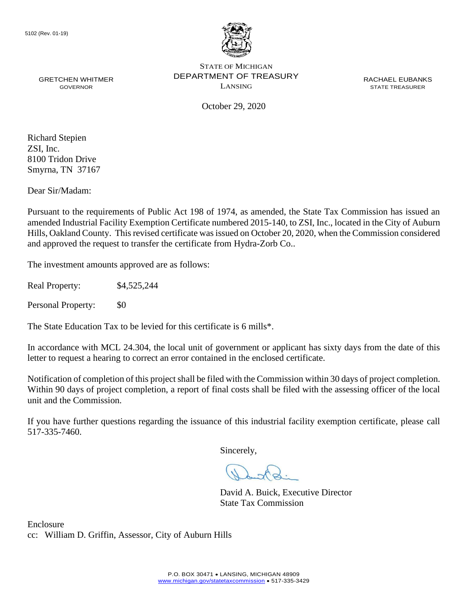

October 29, 2020

 Smyrna, TN 37167 Richard Stepien ZSI, Inc. 8100 Tridon Drive

Dear Sir/Madam:

Pursuant to the requirements of Public Act 198 of 1974, as amended, the State Tax Commission has issued an amended Industrial Facility Exemption Certificate numbered 2015-140, to ZSI, Inc., located in the City of Auburn Hills, Oakland County. This revised certificate was issued on October 20, 2020, when the Commission considered and approved the request to transfer the certificate from Hydra-Zorb Co..

The investment amounts approved are as follows:

Real Property: \$4,525,244

Personal Property: \$0

The State Education Tax to be levied for this certificate is 6 mills\*.

In accordance with MCL 24.304, the local unit of government or applicant has sixty days from the date of this letter to request a hearing to correct an error contained in the enclosed certificate.

 Notification of completion of this project shall be filed with the Commission within 30 days of project completion. Within 90 days of project completion, a report of final costs shall be filed with the assessing officer of the local unit and the Commission.

 If you have further questions regarding the issuance of this industrial facility exemption certificate, please call 517-335-7460.

Sincerely,

David A. Buick, Executive Director State Tax Commission

Enclosure cc: William D. Griffin, Assessor, City of Auburn Hills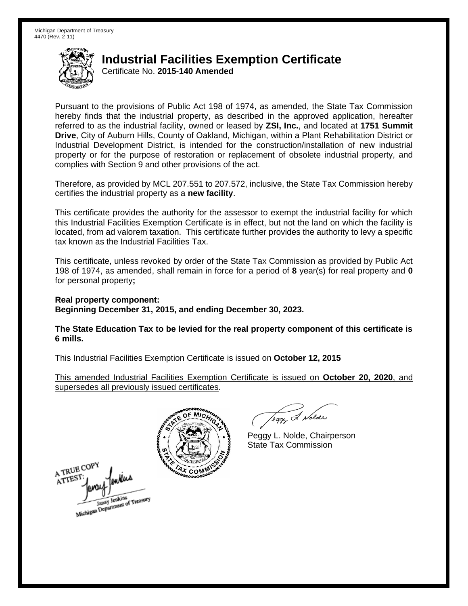# **Industrial Facilities Exemption Certificate**

Certificate No. **2015-140 Amended** 

 Pursuant to the provisions of Public Act 198 of 1974, as amended, the State Tax Commission hereby finds that the industrial property, as described in the approved application, hereafter referred to as the industrial facility, owned or leased by **ZSI, Inc.**, and located at **1751 Summit Drive**, City of Auburn Hills, County of Oakland, Michigan, within a Plant Rehabilitation District or Industrial Development District, is intended for the construction/installation of new industrial property or for the purpose of restoration or replacement of obsolete industrial property, and complies with Section 9 and other provisions of the act.

 Therefore, as provided by MCL 207.551 to 207.572, inclusive, the State Tax Commission hereby certifies the industrial property as a **new facility**.

 This certificate provides the authority for the assessor to exempt the industrial facility for which this Industrial Facilities Exemption Certificate is in effect, but not the land on which the facility is located, from ad valorem taxation. This certificate further provides the authority to levy a specific tax known as the Industrial Facilities Tax.

 This certificate, unless revoked by order of the State Tax Commission as provided by Public Act for personal property**;**  198 of 1974, as amended, shall remain in force for a period of **8** year(s) for real property and **0** 

 **Real property component: Beginning December 31, 2015, and ending December 30, 2023.** 

 **The State Education Tax to be levied for the real property component of this certificate is 6 mills.** 

 This Industrial Facilities Exemption Certificate is issued on **October 12, 2015** 

 supersedes all previously issued certificates. This amended Industrial Facilities Exemption Certificate is issued on **October 20, 2020**, and



 $0<sup>n</sup>$ 

leggy & Nolde

 Peggy L. Nolde, Chairperson State Tax Commission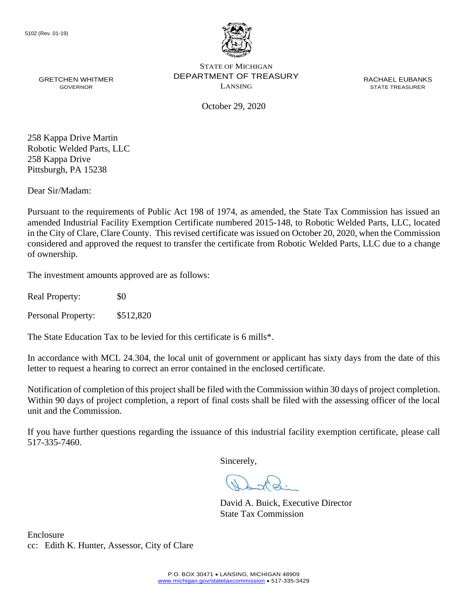

October 29, 2020

258 Kappa Drive Martin Robotic Welded Parts, LLC 258 Kappa Drive Pittsburgh, PA 15238

Dear Sir/Madam:

 considered and approved the request to transfer the certificate from Robotic Welded Parts, LLC due to a change Pursuant to the requirements of Public Act 198 of 1974, as amended, the State Tax Commission has issued an amended Industrial Facility Exemption Certificate numbered 2015-148, to Robotic Welded Parts, LLC, located in the City of Clare, Clare County. This revised certificate was issued on October 20, 2020, when the Commission of ownership.

The investment amounts approved are as follows:

Real Property: \$0

Personal Property: \$512,820

The State Education Tax to be levied for this certificate is 6 mills\*.

In accordance with MCL 24.304, the local unit of government or applicant has sixty days from the date of this letter to request a hearing to correct an error contained in the enclosed certificate.

 Notification of completion of this project shall be filed with the Commission within 30 days of project completion. Within 90 days of project completion, a report of final costs shall be filed with the assessing officer of the local unit and the Commission.

 If you have further questions regarding the issuance of this industrial facility exemption certificate, please call 517-335-7460.

Sincerely,

David A. Buick, Executive Director State Tax Commission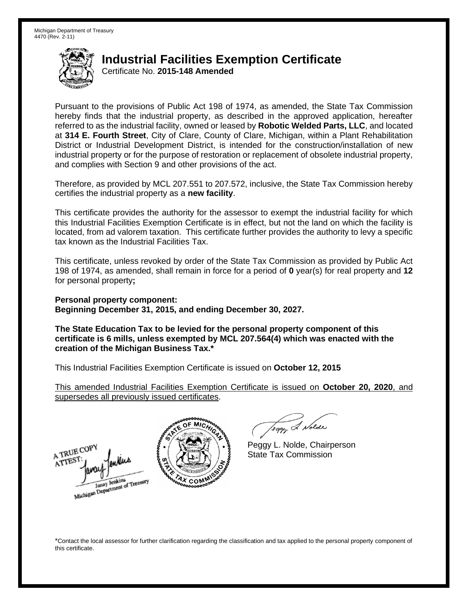## **Industrial Facilities Exemption Certificate**

Certificate No. **2015-148 Amended** 

 Pursuant to the provisions of Public Act 198 of 1974, as amended, the State Tax Commission hereby finds that the industrial property, as described in the approved application, hereafter referred to as the industrial facility, owned or leased by **Robotic Welded Parts, LLC**, and located District or Industrial Development District, is intended for the construction/installation of new industrial property or for the purpose of restoration or replacement of obsolete industrial property, at **314 E. Fourth Street**, City of Clare, County of Clare, Michigan, within a Plant Rehabilitation and complies with Section 9 and other provisions of the act.

 Therefore, as provided by MCL 207.551 to 207.572, inclusive, the State Tax Commission hereby certifies the industrial property as a **new facility**.

 This certificate provides the authority for the assessor to exempt the industrial facility for which this Industrial Facilities Exemption Certificate is in effect, but not the land on which the facility is located, from ad valorem taxation. This certificate further provides the authority to levy a specific tax known as the Industrial Facilities Tax.

 This certificate, unless revoked by order of the State Tax Commission as provided by Public Act 198 of 1974, as amended, shall remain in force for a period of **0** year(s) for real property and **12**  for personal property**;** 

 **Personal property component: Beginning December 31, 2015, and ending December 30, 2027.** 

 **The State Education Tax to be levied for the personal property component of this certificate is 6 mills, unless exempted by MCL 207.564(4) which was enacted with the creation of the Michigan Business Tax.\*** 

 This Industrial Facilities Exemption Certificate is issued on **October 12, 2015** 

 supersedes all previously issued certificates. This amended Industrial Facilities Exemption Certificate is issued on **October 20, 2020**, and





eggy & Nolde

 Peggy L. Nolde, Chairperson State Tax Commission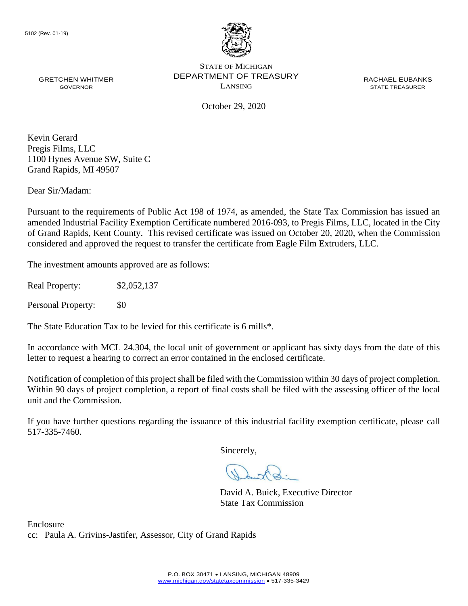

GRETCHEN WHITMER **EXECUTE DEPARTMENT OF TREASURY** THE RACHAEL EUBANKS STATE OF MICHIGAN GRETCHEN WHITMER **STATE THE CONFINITION CONTACT OF I REASUR** T<br>GOVERNOR GOVERNOR BOOKER STATE TREASURER

October 29, 2020

Kevin Gerard Pregis Films, LLC 1100 Hynes Avenue SW, Suite C Grand Rapids, MI 49507

Dear Sir/Madam:

Pursuant to the requirements of Public Act 198 of 1974, as amended, the State Tax Commission has issued an amended Industrial Facility Exemption Certificate numbered 2016-093, to Pregis Films, LLC, located in the City of Grand Rapids, Kent County. This revised certificate was issued on October 20, 2020, when the Commission considered and approved the request to transfer the certificate from Eagle Film Extruders, LLC.

The investment amounts approved are as follows:

Real Property: \$2,052,137

Personal Property: \$0

The State Education Tax to be levied for this certificate is 6 mills\*.

In accordance with MCL 24.304, the local unit of government or applicant has sixty days from the date of this letter to request a hearing to correct an error contained in the enclosed certificate.

 Notification of completion of this project shall be filed with the Commission within 30 days of project completion. Within 90 days of project completion, a report of final costs shall be filed with the assessing officer of the local unit and the Commission.

 If you have further questions regarding the issuance of this industrial facility exemption certificate, please call 517-335-7460.

Sincerely,

David A. Buick, Executive Director State Tax Commission

Enclosure cc: Paula A. Grivins-Jastifer, Assessor, City of Grand Rapids